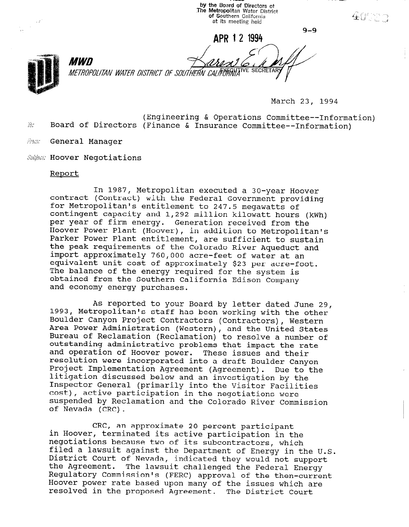by the Board of Directors ot The Metropolitan Water District of Southern California at its meeting held  $-9-9$ 

APB 12 1994



*MWD* METROPOLITAN WATER DISTRICT OF SOUTHERN CALIFORNIA

March 23, 1994

(Engineering & Operations Committee--Information)  $\hat{w}$ : Board of Directors (Finance & Insurance Committee--Information)

Amm General Manager

Subject: Hoover Negotiations

## Report

In 1987, Metropolitan executed a 30-year Hoover contract (Contract) with the Federal Government providing for Metropolitan's entitlement to 247.5 megawatts of contingent capacity and 1,292 million kilowatt hours (kWh) per year of firm energy. Generation received from the Hoover Power Plant (Hoover), in addition to Metropolitan's Parker Power Plant entitlement, are sufficient to sustain the peak requirements of the Colorado River Aqueduct and import approximately 760,000 acre-feet of water at an equivalent unit cost of approximately \$23 per acre-foot. The balance of the energy required for the system is obtained from the Southern California Edison Company and economy energy purchases.

As reported to your Board by letter dated June 29, 1993, Metropolitan's staff has been working with the other Boulder Canyon Project Contractors (Contractors), Western Area Power Administration (Western), and the United States Bureau of Reclamation (Reclamation) to resolve a number of Bureau of Reclamation (Reclamation) to resolve a number of outstanding administrative problems that impact the rate and operation of Hoover power. These issues and their and operation of noover power. These issues and their resolution were incorporated into a draft Boulder Canyon<br>Project Implementation Agreement (Agreement). Due to the litigation discussed below and an investigation by the Incryderon discussed below and an investigation by the cost), active participation in the negotiation section cose), active participation in the negotiations were<br>cuspended by Reclamation and the Colorado River Commission of Nevada (CRC).

CRC, an approximate 20 percent participant in Hoover, all approximate 20 percent participant negotiations because the subcontractors, which is the magnetic participation in the negotiations because two of its subcontractors, which rifed a lawsuit against the Department of Energy in the (<br>District Court of Nevada, indicated il pistrict court or nevada, indicated they would not support<br>the lawsement of The lessonity in II and I all the Tennis of The the Agreement. The lawsuit challenged the Federal Energy Regulatory Commission's (FERC) approval of the then-current Hoover power rate based upon many of the issues which are resolved in the proposed Agreement. The District Court